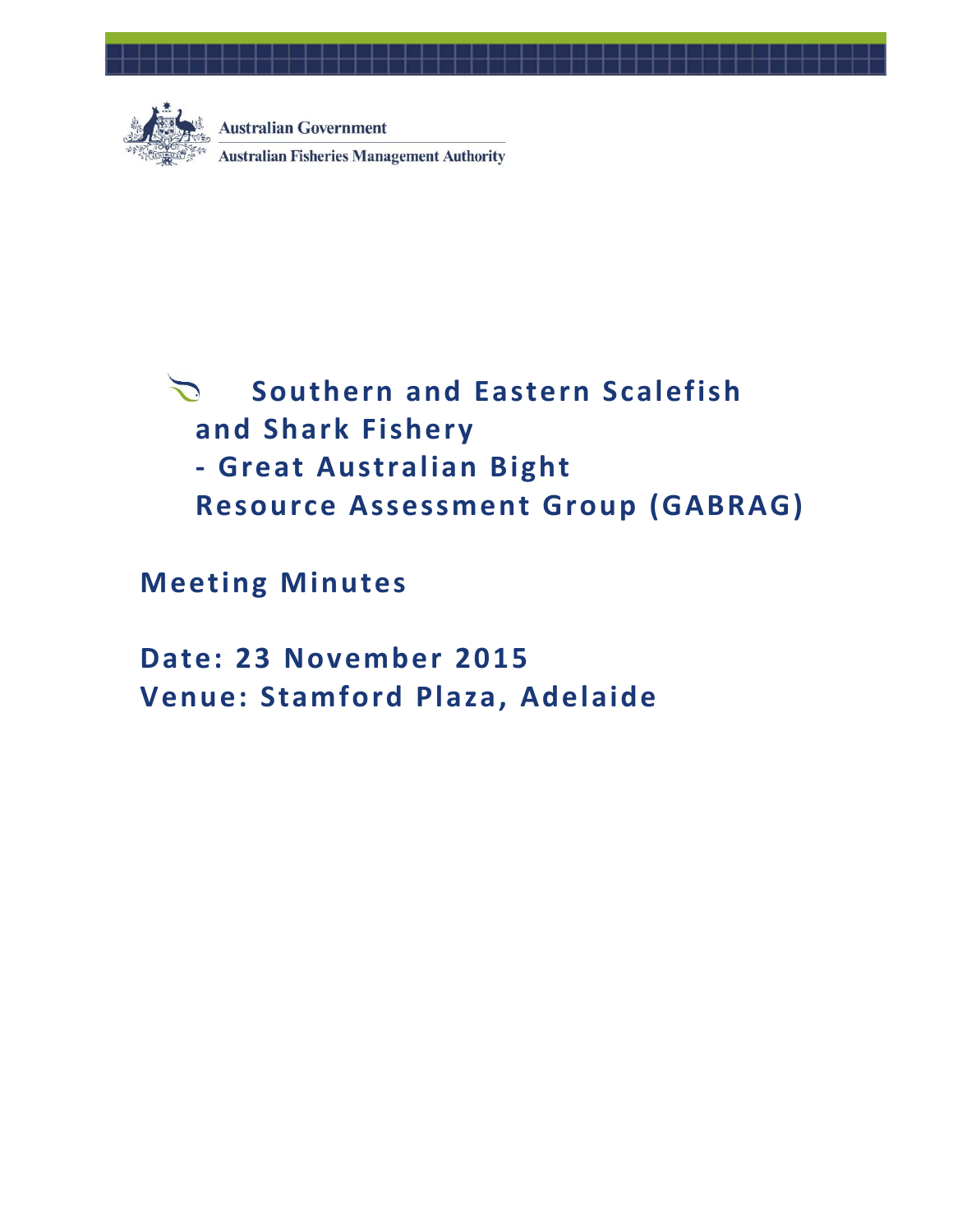

**Australian Government Australian Fisheries Management Authority** 

# $\sum$ **Southern and Eastern Scalefish and Shark Fishery - Great Australian Bight Resource Assessment Group (GABRAG)**

**Meeting Minutes**

**Date: 23 November 2015 Venue: Stamford Plaza, Adelaide**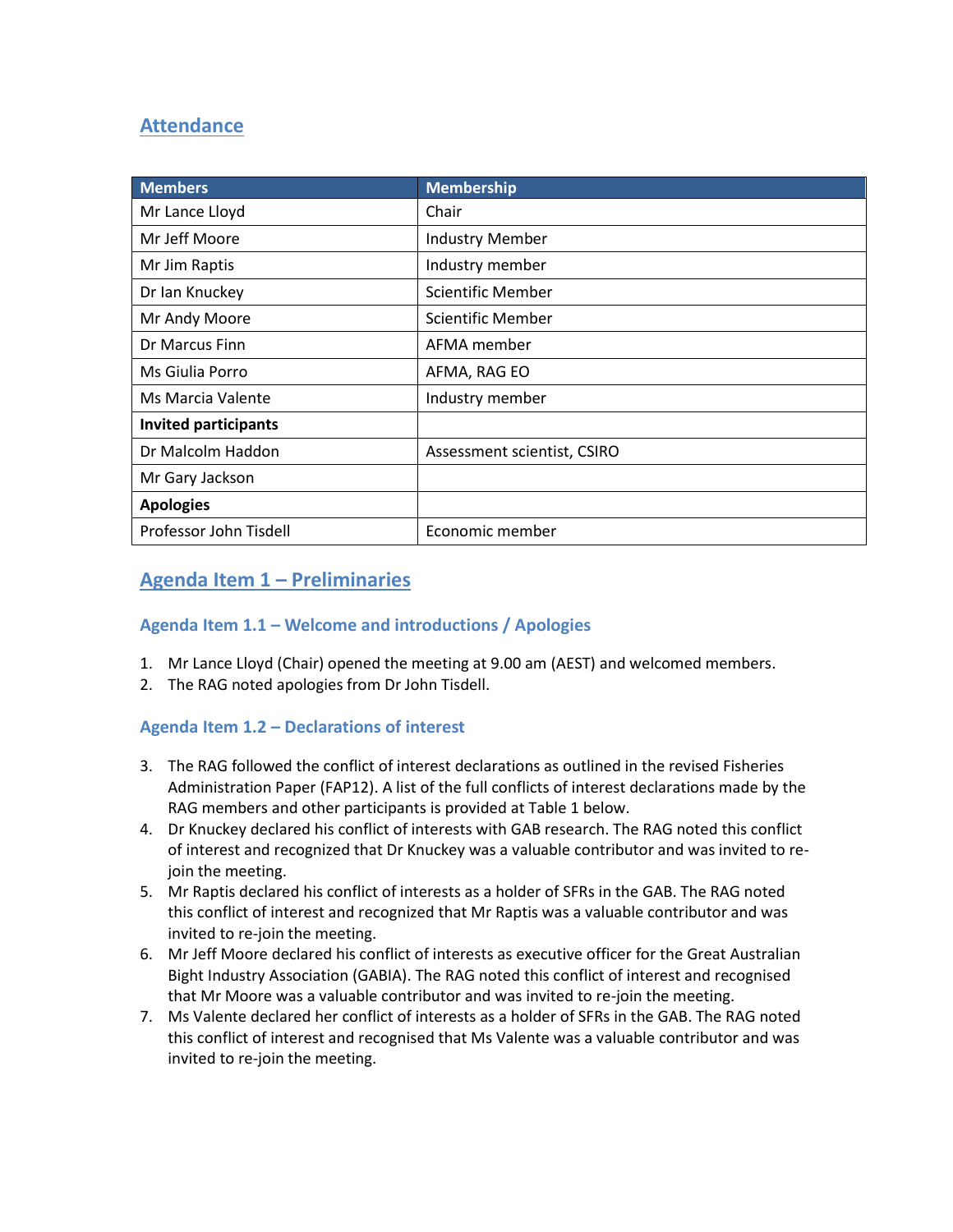# **Attendance**

| <b>Members</b>              | <b>Membership</b>           |
|-----------------------------|-----------------------------|
| Mr Lance Lloyd              | Chair                       |
| Mr Jeff Moore               | <b>Industry Member</b>      |
| Mr Jim Raptis               | Industry member             |
| Dr Ian Knuckey              | Scientific Member           |
| Mr Andy Moore               | Scientific Member           |
| Dr Marcus Finn              | AFMA member                 |
| Ms Giulia Porro             | AFMA, RAG EO                |
| Ms Marcia Valente           | Industry member             |
| <b>Invited participants</b> |                             |
| Dr Malcolm Haddon           | Assessment scientist, CSIRO |
| Mr Gary Jackson             |                             |
| <b>Apologies</b>            |                             |
| Professor John Tisdell      | Economic member             |

# **Agenda Item 1 – Preliminaries**

## **Agenda Item 1.1 – Welcome and introductions / Apologies**

- 1. Mr Lance Lloyd (Chair) opened the meeting at 9.00 am (AEST) and welcomed members.
- 2. The RAG noted apologies from Dr John Tisdell.

# **Agenda Item 1.2 – Declarations of interest**

- 3. The RAG followed the conflict of interest declarations as outlined in the revised Fisheries Administration Paper (FAP12). A list of the full conflicts of interest declarations made by the RAG members and other participants is provided at Table 1 below.
- 4. Dr Knuckey declared his conflict of interests with GAB research. The RAG noted this conflict of interest and recognized that Dr Knuckey was a valuable contributor and was invited to rejoin the meeting.
- 5. Mr Raptis declared his conflict of interests as a holder of SFRs in the GAB. The RAG noted this conflict of interest and recognized that Mr Raptis was a valuable contributor and was invited to re-join the meeting.
- 6. Mr Jeff Moore declared his conflict of interests as executive officer for the Great Australian Bight Industry Association (GABIA). The RAG noted this conflict of interest and recognised that Mr Moore was a valuable contributor and was invited to re-join the meeting.
- 7. Ms Valente declared her conflict of interests as a holder of SFRs in the GAB. The RAG noted this conflict of interest and recognised that Ms Valente was a valuable contributor and was invited to re-join the meeting.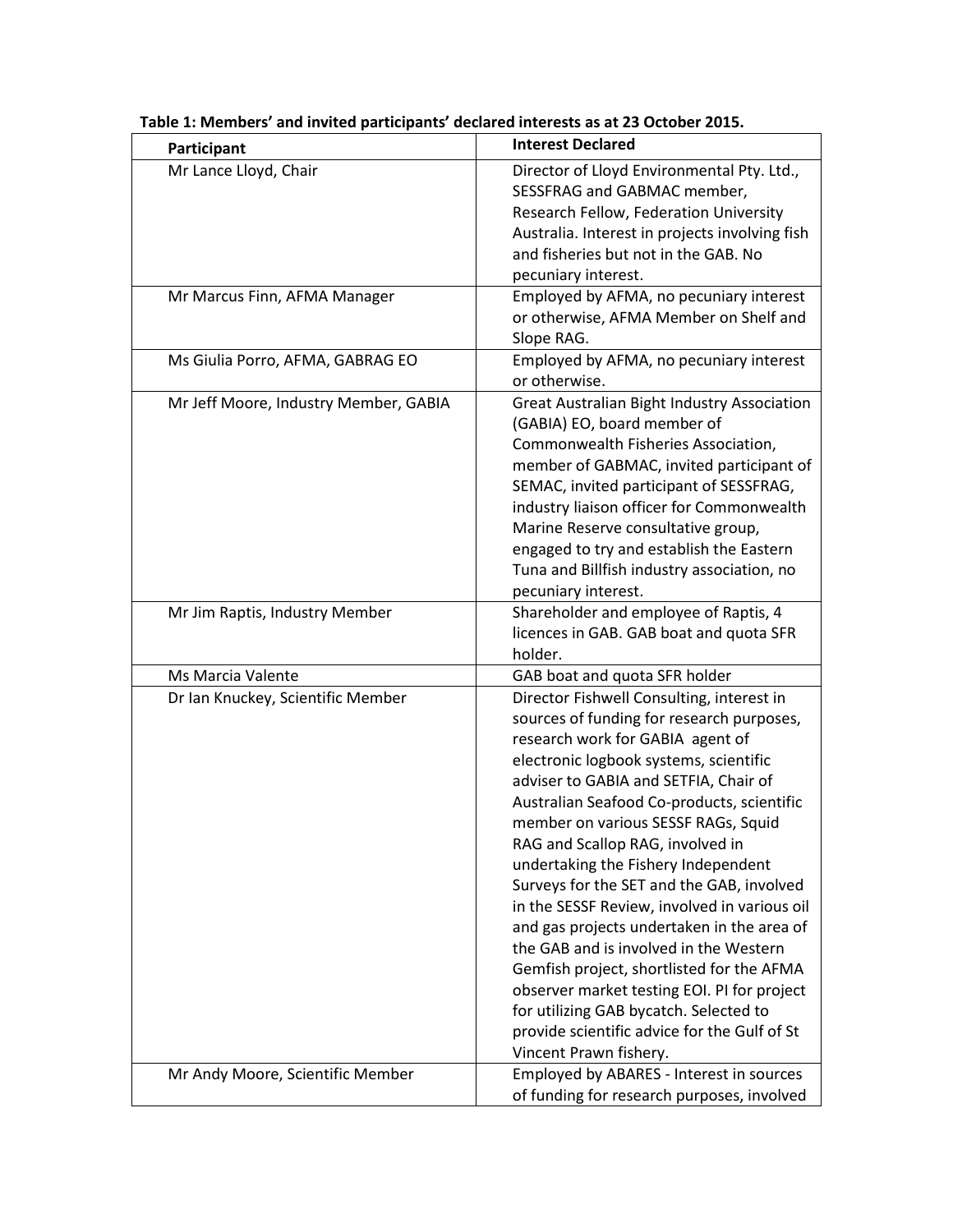| Participant                           | <b>Interest Declared</b>                                                                                                                                                                                                                                                                                                                                                                                                                                                                                                                                                                                                                                                                                                                                                           |
|---------------------------------------|------------------------------------------------------------------------------------------------------------------------------------------------------------------------------------------------------------------------------------------------------------------------------------------------------------------------------------------------------------------------------------------------------------------------------------------------------------------------------------------------------------------------------------------------------------------------------------------------------------------------------------------------------------------------------------------------------------------------------------------------------------------------------------|
| Mr Lance Lloyd, Chair                 | Director of Lloyd Environmental Pty. Ltd.,<br>SESSFRAG and GABMAC member,<br>Research Fellow, Federation University<br>Australia. Interest in projects involving fish<br>and fisheries but not in the GAB. No<br>pecuniary interest.                                                                                                                                                                                                                                                                                                                                                                                                                                                                                                                                               |
| Mr Marcus Finn, AFMA Manager          | Employed by AFMA, no pecuniary interest<br>or otherwise, AFMA Member on Shelf and<br>Slope RAG.                                                                                                                                                                                                                                                                                                                                                                                                                                                                                                                                                                                                                                                                                    |
| Ms Giulia Porro, AFMA, GABRAG EO      | Employed by AFMA, no pecuniary interest<br>or otherwise.                                                                                                                                                                                                                                                                                                                                                                                                                                                                                                                                                                                                                                                                                                                           |
| Mr Jeff Moore, Industry Member, GABIA | <b>Great Australian Bight Industry Association</b><br>(GABIA) EO, board member of<br>Commonwealth Fisheries Association,<br>member of GABMAC, invited participant of<br>SEMAC, invited participant of SESSFRAG,<br>industry liaison officer for Commonwealth<br>Marine Reserve consultative group,<br>engaged to try and establish the Eastern<br>Tuna and Billfish industry association, no<br>pecuniary interest.                                                                                                                                                                                                                                                                                                                                                                |
| Mr Jim Raptis, Industry Member        | Shareholder and employee of Raptis, 4<br>licences in GAB. GAB boat and quota SFR<br>holder.                                                                                                                                                                                                                                                                                                                                                                                                                                                                                                                                                                                                                                                                                        |
| Ms Marcia Valente                     | GAB boat and quota SFR holder                                                                                                                                                                                                                                                                                                                                                                                                                                                                                                                                                                                                                                                                                                                                                      |
| Dr Ian Knuckey, Scientific Member     | Director Fishwell Consulting, interest in<br>sources of funding for research purposes,<br>research work for GABIA agent of<br>electronic logbook systems, scientific<br>adviser to GABIA and SETFIA, Chair of<br>Australian Seafood Co-products, scientific<br>member on various SESSF RAGs, Squid<br>RAG and Scallop RAG, involved in<br>undertaking the Fishery Independent<br>Surveys for the SET and the GAB, involved<br>in the SESSF Review, involved in various oil<br>and gas projects undertaken in the area of<br>the GAB and is involved in the Western<br>Gemfish project, shortlisted for the AFMA<br>observer market testing EOI. PI for project<br>for utilizing GAB bycatch. Selected to<br>provide scientific advice for the Gulf of St<br>Vincent Prawn fishery. |
| Mr Andy Moore, Scientific Member      | Employed by ABARES - Interest in sources<br>of funding for research purposes, involved                                                                                                                                                                                                                                                                                                                                                                                                                                                                                                                                                                                                                                                                                             |

# **Table 1: Members' and invited participants' declared interests as at 23 October 2015.**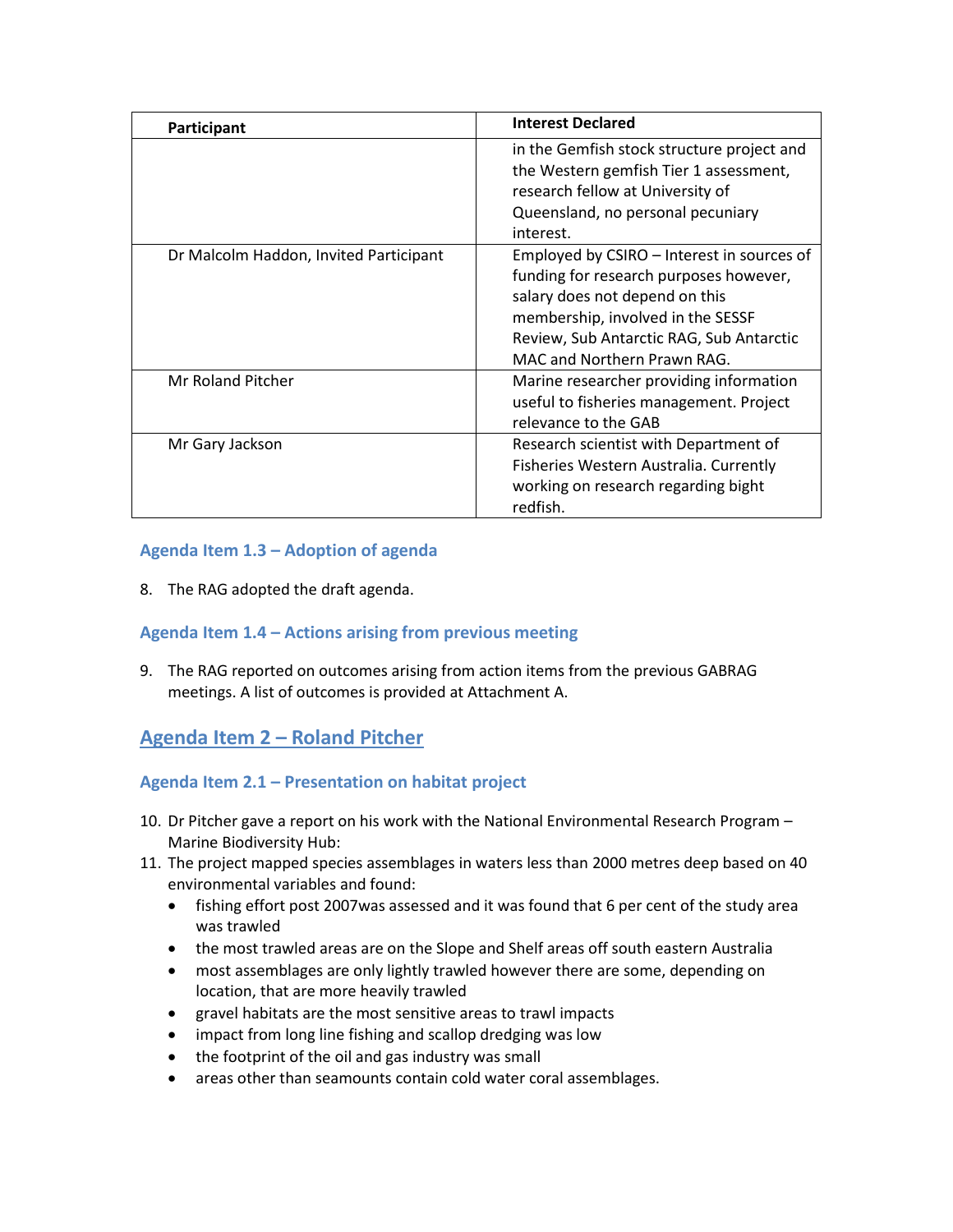| Participant                            | <b>Interest Declared</b>                                                                                                                                                                                                               |  |
|----------------------------------------|----------------------------------------------------------------------------------------------------------------------------------------------------------------------------------------------------------------------------------------|--|
|                                        | in the Gemfish stock structure project and<br>the Western gemfish Tier 1 assessment,<br>research fellow at University of<br>Queensland, no personal pecuniary<br>interest.                                                             |  |
| Dr Malcolm Haddon, Invited Participant | Employed by CSIRO - Interest in sources of<br>funding for research purposes however,<br>salary does not depend on this<br>membership, involved in the SESSF<br>Review, Sub Antarctic RAG, Sub Antarctic<br>MAC and Northern Prawn RAG. |  |
| Mr Roland Pitcher                      | Marine researcher providing information<br>useful to fisheries management. Project<br>relevance to the GAB                                                                                                                             |  |
| Mr Gary Jackson                        | Research scientist with Department of<br>Fisheries Western Australia. Currently<br>working on research regarding bight<br>redfish.                                                                                                     |  |

## **Agenda Item 1.3 – Adoption of agenda**

8. The RAG adopted the draft agenda.

## **Agenda Item 1.4 – Actions arising from previous meeting**

9. The RAG reported on outcomes arising from action items from the previous GABRAG meetings. A list of outcomes is provided at Attachment A.

# **Agenda Item 2 – Roland Pitcher**

# **Agenda Item 2.1 – Presentation on habitat project**

- 10. Dr Pitcher gave a report on his work with the National Environmental Research Program Marine Biodiversity Hub:
- 11. The project mapped species assemblages in waters less than 2000 metres deep based on 40 environmental variables and found:
	- fishing effort post 2007was assessed and it was found that 6 per cent of the study area was trawled
	- the most trawled areas are on the Slope and Shelf areas off south eastern Australia
	- most assemblages are only lightly trawled however there are some, depending on location, that are more heavily trawled
	- gravel habitats are the most sensitive areas to trawl impacts
	- impact from long line fishing and scallop dredging was low
	- the footprint of the oil and gas industry was small
	- areas other than seamounts contain cold water coral assemblages.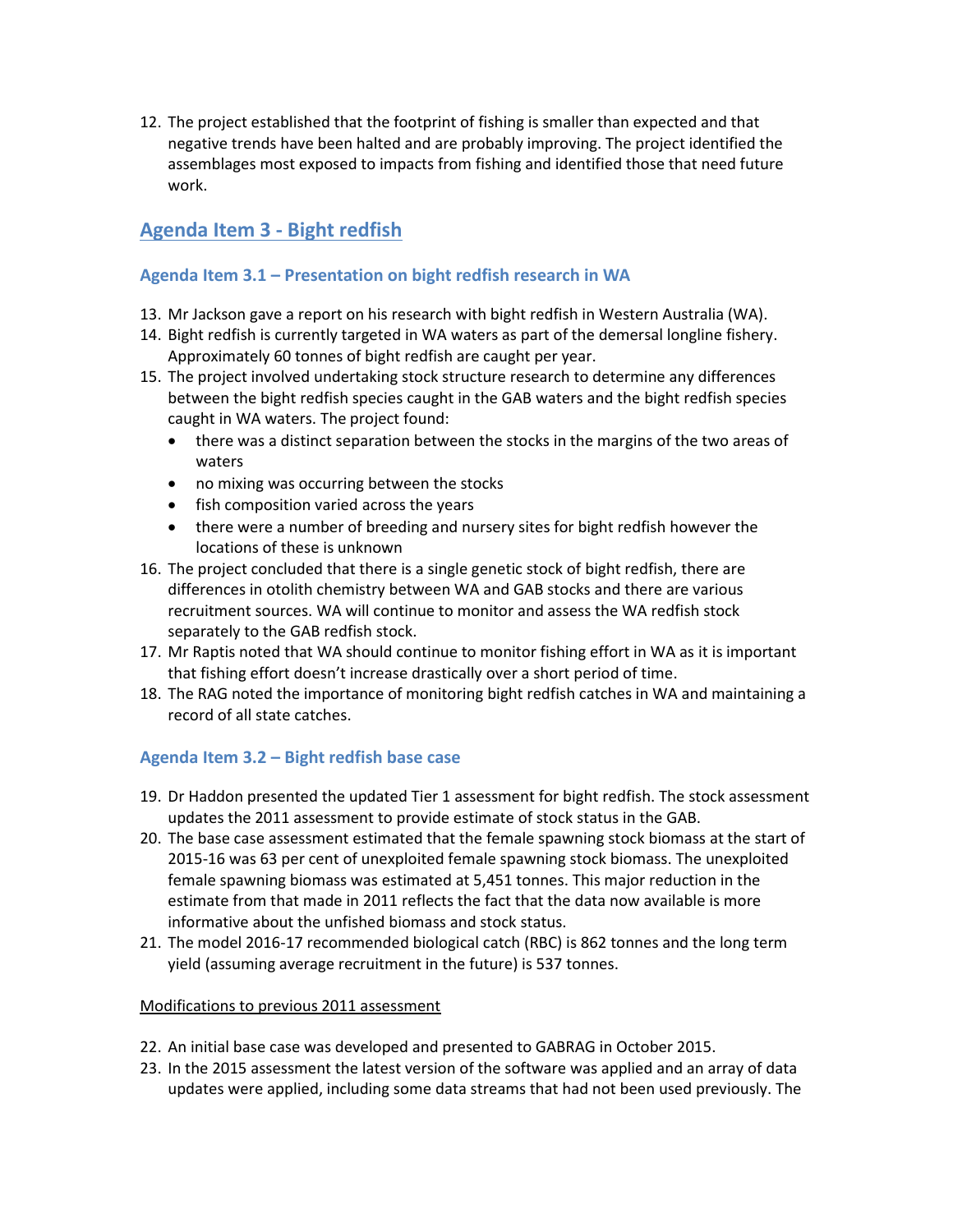12. The project established that the footprint of fishing is smaller than expected and that negative trends have been halted and are probably improving. The project identified the assemblages most exposed to impacts from fishing and identified those that need future work.

# **Agenda Item 3 - Bight redfish**

# **Agenda Item 3.1 – Presentation on bight redfish research in WA**

- 13. Mr Jackson gave a report on his research with bight redfish in Western Australia (WA).
- 14. Bight redfish is currently targeted in WA waters as part of the demersal longline fishery. Approximately 60 tonnes of bight redfish are caught per year.
- 15. The project involved undertaking stock structure research to determine any differences between the bight redfish species caught in the GAB waters and the bight redfish species caught in WA waters. The project found:
	- there was a distinct separation between the stocks in the margins of the two areas of waters
	- no mixing was occurring between the stocks
	- fish composition varied across the years
	- there were a number of breeding and nursery sites for bight redfish however the locations of these is unknown
- 16. The project concluded that there is a single genetic stock of bight redfish, there are differences in otolith chemistry between WA and GAB stocks and there are various recruitment sources. WA will continue to monitor and assess the WA redfish stock separately to the GAB redfish stock.
- 17. Mr Raptis noted that WA should continue to monitor fishing effort in WA as it is important that fishing effort doesn't increase drastically over a short period of time.
- 18. The RAG noted the importance of monitoring bight redfish catches in WA and maintaining a record of all state catches.

# **Agenda Item 3.2 – Bight redfish base case**

- 19. Dr Haddon presented the updated Tier 1 assessment for bight redfish. The stock assessment updates the 2011 assessment to provide estimate of stock status in the GAB.
- 20. The base case assessment estimated that the female spawning stock biomass at the start of 2015-16 was 63 per cent of unexploited female spawning stock biomass. The unexploited female spawning biomass was estimated at 5,451 tonnes. This major reduction in the estimate from that made in 2011 reflects the fact that the data now available is more informative about the unfished biomass and stock status.
- 21. The model 2016-17 recommended biological catch (RBC) is 862 tonnes and the long term yield (assuming average recruitment in the future) is 537 tonnes.

#### Modifications to previous 2011 assessment

- 22. An initial base case was developed and presented to GABRAG in October 2015.
- 23. In the 2015 assessment the latest version of the software was applied and an array of data updates were applied, including some data streams that had not been used previously. The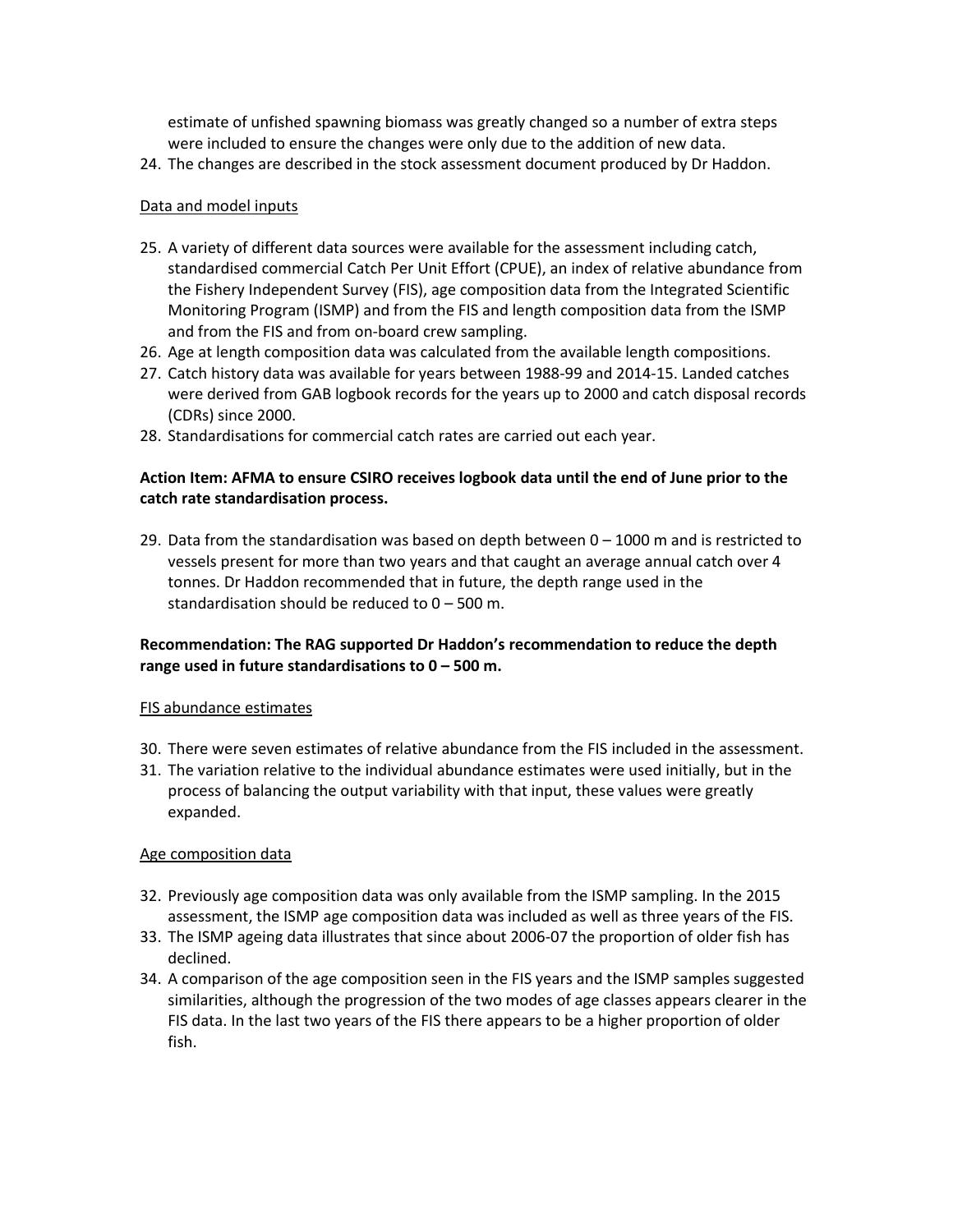estimate of unfished spawning biomass was greatly changed so a number of extra steps were included to ensure the changes were only due to the addition of new data.

24. The changes are described in the stock assessment document produced by Dr Haddon.

#### Data and model inputs

- 25. A variety of different data sources were available for the assessment including catch, standardised commercial Catch Per Unit Effort (CPUE), an index of relative abundance from the Fishery Independent Survey (FIS), age composition data from the Integrated Scientific Monitoring Program (ISMP) and from the FIS and length composition data from the ISMP and from the FIS and from on-board crew sampling.
- 26. Age at length composition data was calculated from the available length compositions.
- 27. Catch history data was available for years between 1988-99 and 2014-15. Landed catches were derived from GAB logbook records for the years up to 2000 and catch disposal records (CDRs) since 2000.
- 28. Standardisations for commercial catch rates are carried out each year.

### **Action Item: AFMA to ensure CSIRO receives logbook data until the end of June prior to the catch rate standardisation process.**

29. Data from the standardisation was based on depth between  $0 - 1000$  m and is restricted to vessels present for more than two years and that caught an average annual catch over 4 tonnes. Dr Haddon recommended that in future, the depth range used in the standardisation should be reduced to 0 – 500 m.

## **Recommendation: The RAG supported Dr Haddon's recommendation to reduce the depth range used in future standardisations to 0 – 500 m.**

#### FIS abundance estimates

- 30. There were seven estimates of relative abundance from the FIS included in the assessment.
- 31. The variation relative to the individual abundance estimates were used initially, but in the process of balancing the output variability with that input, these values were greatly expanded.

#### Age composition data

- 32. Previously age composition data was only available from the ISMP sampling. In the 2015 assessment, the ISMP age composition data was included as well as three years of the FIS.
- 33. The ISMP ageing data illustrates that since about 2006-07 the proportion of older fish has declined.
- 34. A comparison of the age composition seen in the FIS years and the ISMP samples suggested similarities, although the progression of the two modes of age classes appears clearer in the FIS data. In the last two years of the FIS there appears to be a higher proportion of older fish.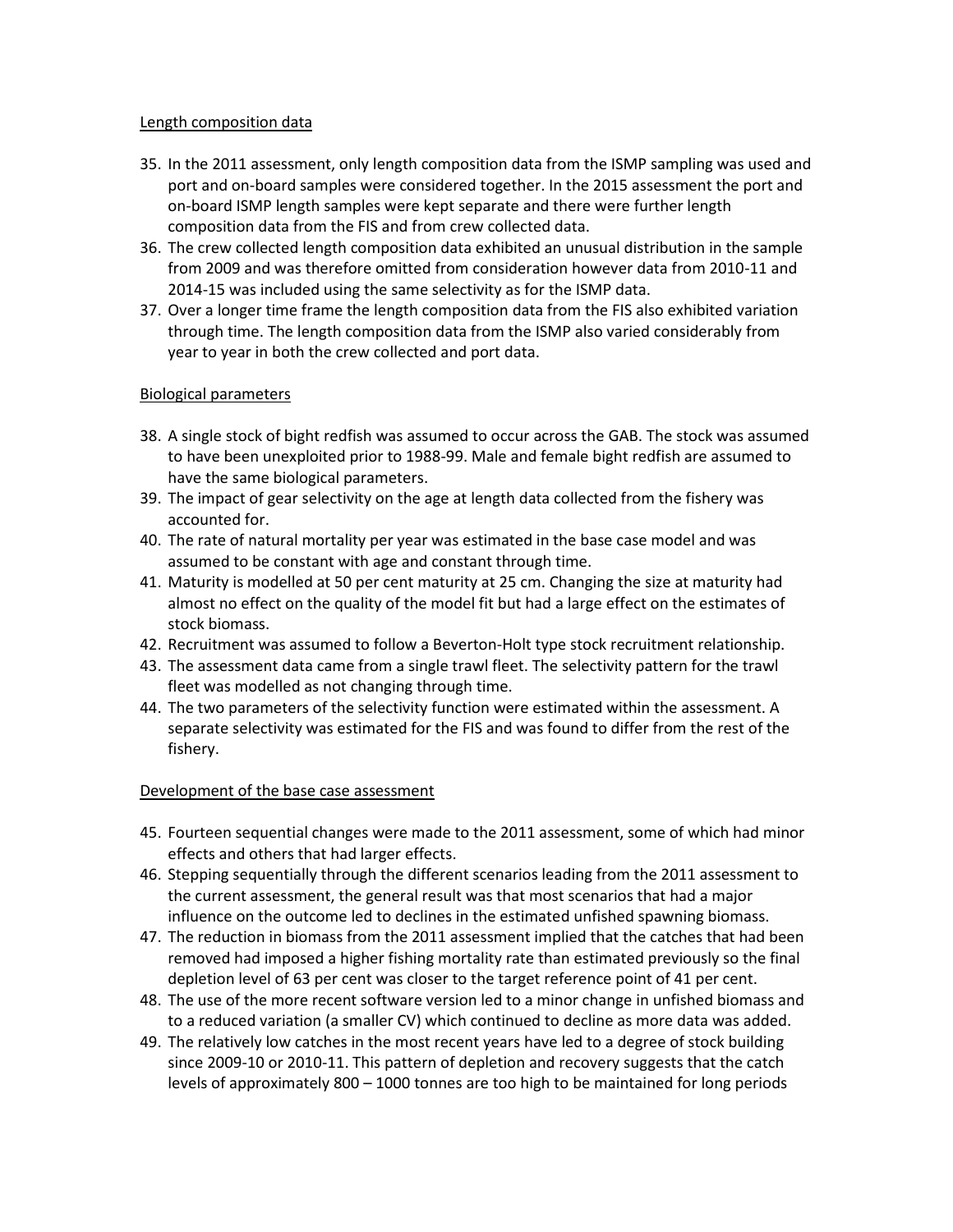#### Length composition data

- 35. In the 2011 assessment, only length composition data from the ISMP sampling was used and port and on-board samples were considered together. In the 2015 assessment the port and on-board ISMP length samples were kept separate and there were further length composition data from the FIS and from crew collected data.
- 36. The crew collected length composition data exhibited an unusual distribution in the sample from 2009 and was therefore omitted from consideration however data from 2010-11 and 2014-15 was included using the same selectivity as for the ISMP data.
- 37. Over a longer time frame the length composition data from the FIS also exhibited variation through time. The length composition data from the ISMP also varied considerably from year to year in both the crew collected and port data.

#### Biological parameters

- 38. A single stock of bight redfish was assumed to occur across the GAB. The stock was assumed to have been unexploited prior to 1988-99. Male and female bight redfish are assumed to have the same biological parameters.
- 39. The impact of gear selectivity on the age at length data collected from the fishery was accounted for.
- 40. The rate of natural mortality per year was estimated in the base case model and was assumed to be constant with age and constant through time.
- 41. Maturity is modelled at 50 per cent maturity at 25 cm. Changing the size at maturity had almost no effect on the quality of the model fit but had a large effect on the estimates of stock biomass.
- 42. Recruitment was assumed to follow a Beverton-Holt type stock recruitment relationship.
- 43. The assessment data came from a single trawl fleet. The selectivity pattern for the trawl fleet was modelled as not changing through time.
- 44. The two parameters of the selectivity function were estimated within the assessment. A separate selectivity was estimated for the FIS and was found to differ from the rest of the fishery.

#### Development of the base case assessment

- 45. Fourteen sequential changes were made to the 2011 assessment, some of which had minor effects and others that had larger effects.
- 46. Stepping sequentially through the different scenarios leading from the 2011 assessment to the current assessment, the general result was that most scenarios that had a major influence on the outcome led to declines in the estimated unfished spawning biomass.
- 47. The reduction in biomass from the 2011 assessment implied that the catches that had been removed had imposed a higher fishing mortality rate than estimated previously so the final depletion level of 63 per cent was closer to the target reference point of 41 per cent.
- 48. The use of the more recent software version led to a minor change in unfished biomass and to a reduced variation (a smaller CV) which continued to decline as more data was added.
- 49. The relatively low catches in the most recent years have led to a degree of stock building since 2009-10 or 2010-11. This pattern of depletion and recovery suggests that the catch levels of approximately 800 – 1000 tonnes are too high to be maintained for long periods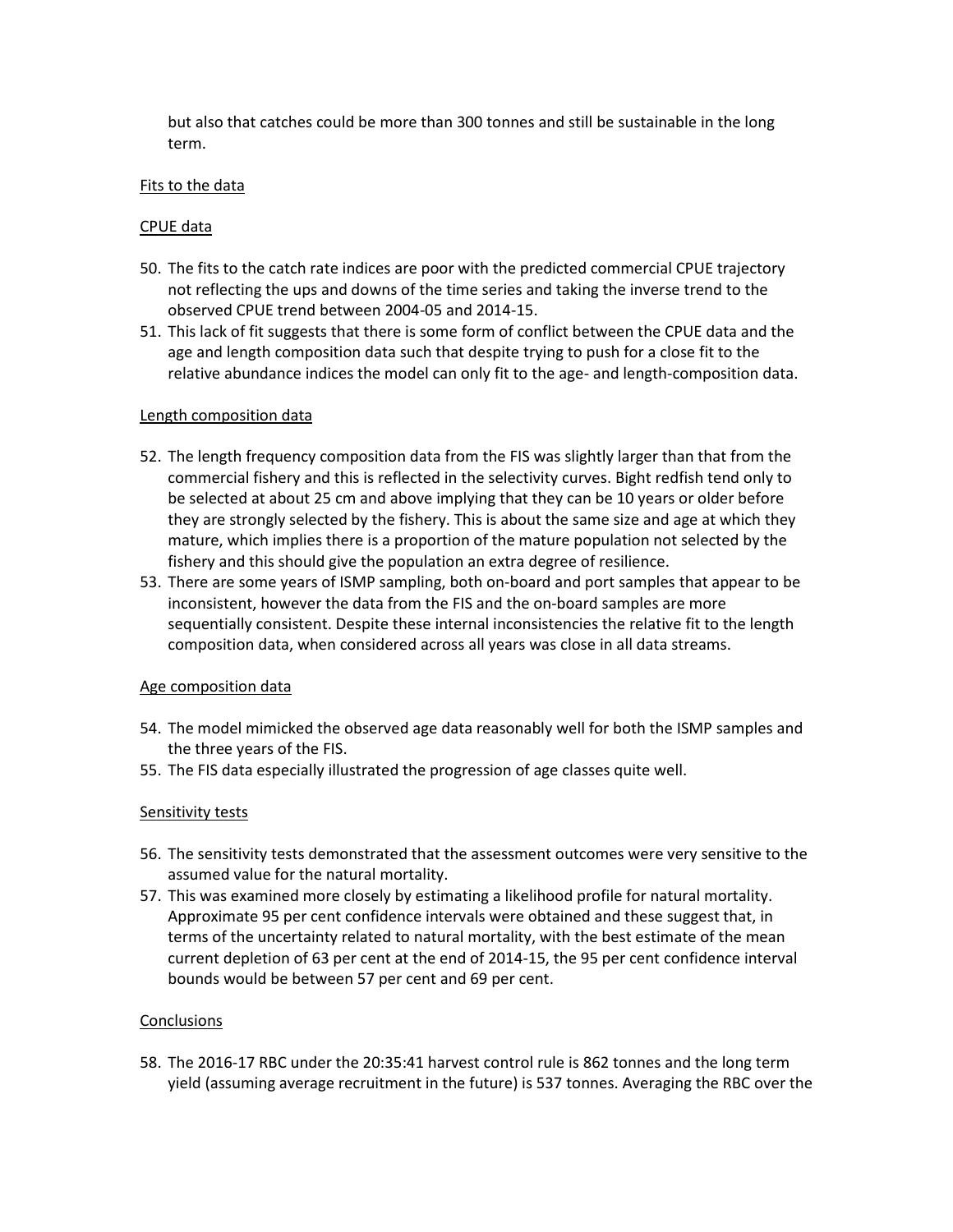but also that catches could be more than 300 tonnes and still be sustainable in the long term.

#### Fits to the data

#### CPUE data

- 50. The fits to the catch rate indices are poor with the predicted commercial CPUE trajectory not reflecting the ups and downs of the time series and taking the inverse trend to the observed CPUE trend between 2004-05 and 2014-15.
- 51. This lack of fit suggests that there is some form of conflict between the CPUE data and the age and length composition data such that despite trying to push for a close fit to the relative abundance indices the model can only fit to the age- and length-composition data.

#### Length composition data

- 52. The length frequency composition data from the FIS was slightly larger than that from the commercial fishery and this is reflected in the selectivity curves. Bight redfish tend only to be selected at about 25 cm and above implying that they can be 10 years or older before they are strongly selected by the fishery. This is about the same size and age at which they mature, which implies there is a proportion of the mature population not selected by the fishery and this should give the population an extra degree of resilience.
- 53. There are some years of ISMP sampling, both on-board and port samples that appear to be inconsistent, however the data from the FIS and the on-board samples are more sequentially consistent. Despite these internal inconsistencies the relative fit to the length composition data, when considered across all years was close in all data streams.

#### Age composition data

- 54. The model mimicked the observed age data reasonably well for both the ISMP samples and the three years of the FIS.
- 55. The FIS data especially illustrated the progression of age classes quite well.

#### Sensitivity tests

- 56. The sensitivity tests demonstrated that the assessment outcomes were very sensitive to the assumed value for the natural mortality.
- 57. This was examined more closely by estimating a likelihood profile for natural mortality. Approximate 95 per cent confidence intervals were obtained and these suggest that, in terms of the uncertainty related to natural mortality, with the best estimate of the mean current depletion of 63 per cent at the end of 2014-15, the 95 per cent confidence interval bounds would be between 57 per cent and 69 per cent.

#### **Conclusions**

58. The 2016-17 RBC under the 20:35:41 harvest control rule is 862 tonnes and the long term yield (assuming average recruitment in the future) is 537 tonnes. Averaging the RBC over the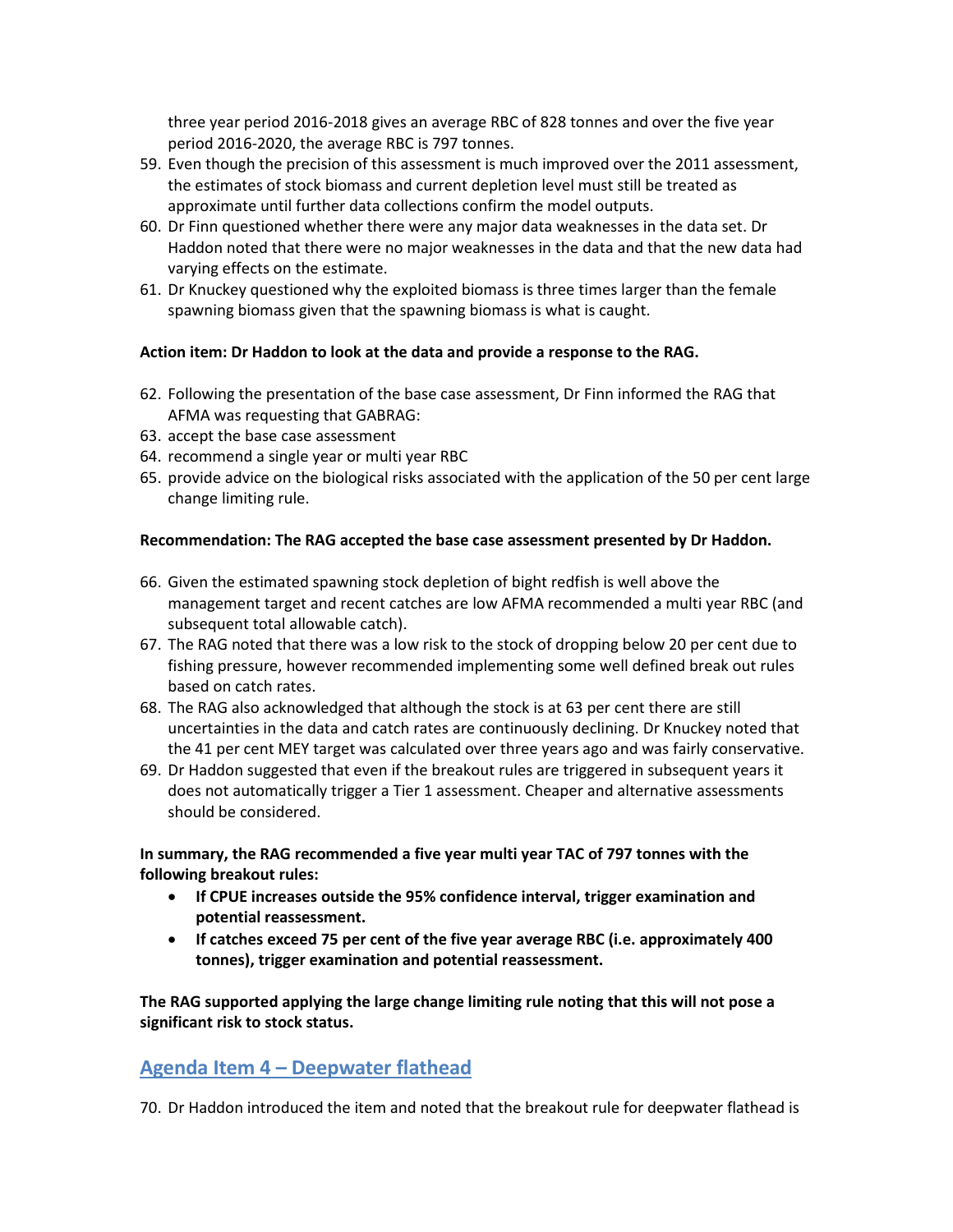three year period 2016-2018 gives an average RBC of 828 tonnes and over the five year period 2016-2020, the average RBC is 797 tonnes.

- 59. Even though the precision of this assessment is much improved over the 2011 assessment, the estimates of stock biomass and current depletion level must still be treated as approximate until further data collections confirm the model outputs.
- 60. Dr Finn questioned whether there were any major data weaknesses in the data set. Dr Haddon noted that there were no major weaknesses in the data and that the new data had varying effects on the estimate.
- 61. Dr Knuckey questioned why the exploited biomass is three times larger than the female spawning biomass given that the spawning biomass is what is caught.

#### **Action item: Dr Haddon to look at the data and provide a response to the RAG.**

- 62. Following the presentation of the base case assessment, Dr Finn informed the RAG that AFMA was requesting that GABRAG:
- 63. accept the base case assessment
- 64. recommend a single year or multi year RBC
- 65. provide advice on the biological risks associated with the application of the 50 per cent large change limiting rule.

#### **Recommendation: The RAG accepted the base case assessment presented by Dr Haddon.**

- 66. Given the estimated spawning stock depletion of bight redfish is well above the management target and recent catches are low AFMA recommended a multi year RBC (and subsequent total allowable catch).
- 67. The RAG noted that there was a low risk to the stock of dropping below 20 per cent due to fishing pressure, however recommended implementing some well defined break out rules based on catch rates.
- 68. The RAG also acknowledged that although the stock is at 63 per cent there are still uncertainties in the data and catch rates are continuously declining. Dr Knuckey noted that the 41 per cent MEY target was calculated over three years ago and was fairly conservative.
- 69. Dr Haddon suggested that even if the breakout rules are triggered in subsequent years it does not automatically trigger a Tier 1 assessment. Cheaper and alternative assessments should be considered.

#### **In summary, the RAG recommended a five year multi year TAC of 797 tonnes with the following breakout rules:**

- **If CPUE increases outside the 95% confidence interval, trigger examination and potential reassessment.**
- **If catches exceed 75 per cent of the five year average RBC (i.e. approximately 400 tonnes), trigger examination and potential reassessment.**

**The RAG supported applying the large change limiting rule noting that this will not pose a significant risk to stock status.** 

# **Agenda Item 4 – Deepwater flathead**

70. Dr Haddon introduced the item and noted that the breakout rule for deepwater flathead is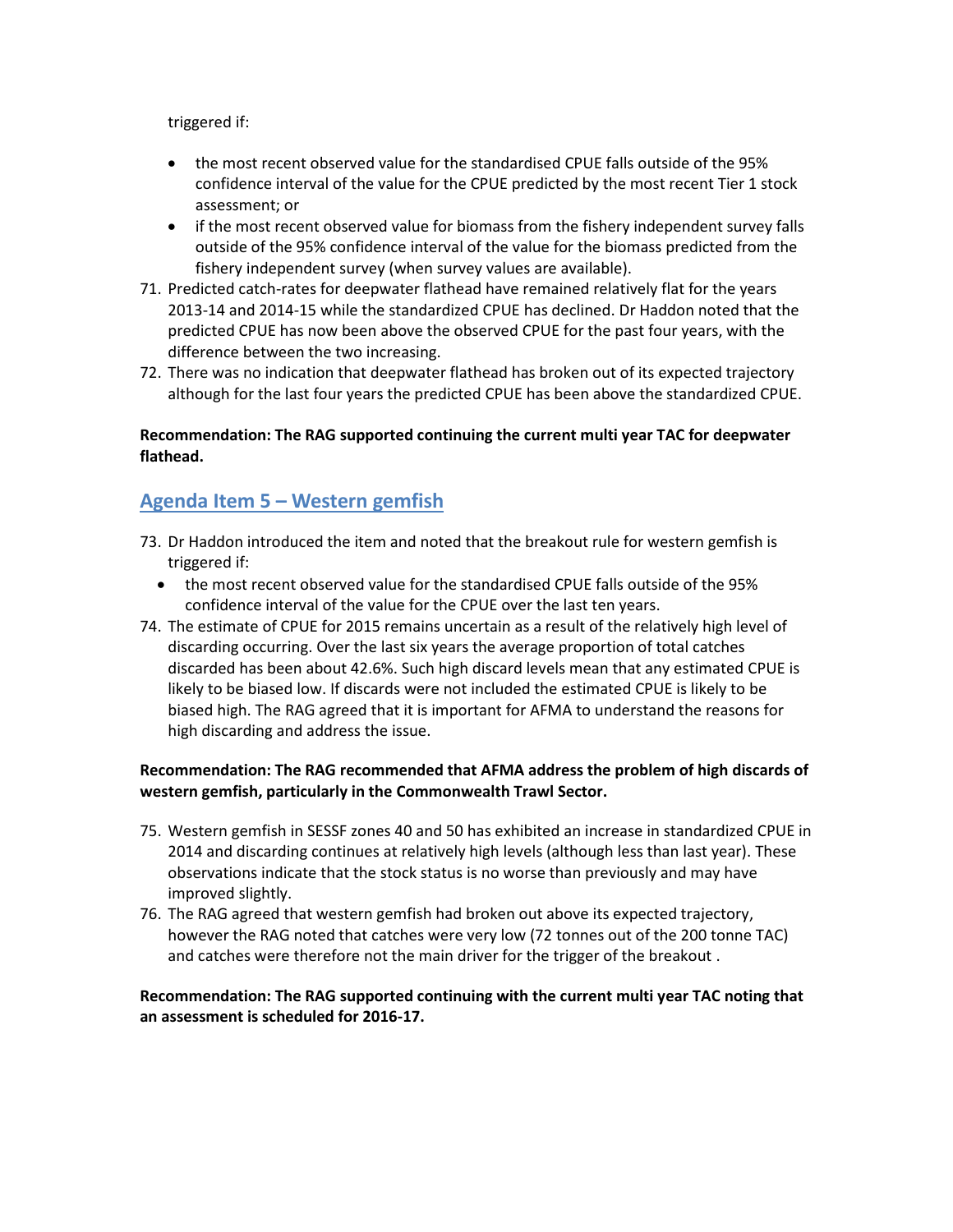triggered if:

- the most recent observed value for the standardised CPUE falls outside of the 95% confidence interval of the value for the CPUE predicted by the most recent Tier 1 stock assessment; or
- if the most recent observed value for biomass from the fishery independent survey falls outside of the 95% confidence interval of the value for the biomass predicted from the fishery independent survey (when survey values are available).
- 71. Predicted catch-rates for deepwater flathead have remained relatively flat for the years 2013-14 and 2014-15 while the standardized CPUE has declined. Dr Haddon noted that the predicted CPUE has now been above the observed CPUE for the past four years, with the difference between the two increasing.
- 72. There was no indication that deepwater flathead has broken out of its expected trajectory although for the last four years the predicted CPUE has been above the standardized CPUE.

## **Recommendation: The RAG supported continuing the current multi year TAC for deepwater flathead.**

# **Agenda Item 5 – Western gemfish**

- 73. Dr Haddon introduced the item and noted that the breakout rule for western gemfish is triggered if:
	- the most recent observed value for the standardised CPUE falls outside of the 95% confidence interval of the value for the CPUE over the last ten years.
- 74. The estimate of CPUE for 2015 remains uncertain as a result of the relatively high level of discarding occurring. Over the last six years the average proportion of total catches discarded has been about 42.6%. Such high discard levels mean that any estimated CPUE is likely to be biased low. If discards were not included the estimated CPUE is likely to be biased high. The RAG agreed that it is important for AFMA to understand the reasons for high discarding and address the issue.

## **Recommendation: The RAG recommended that AFMA address the problem of high discards of western gemfish, particularly in the Commonwealth Trawl Sector.**

- 75. Western gemfish in SESSF zones 40 and 50 has exhibited an increase in standardized CPUE in 2014 and discarding continues at relatively high levels (although less than last year). These observations indicate that the stock status is no worse than previously and may have improved slightly.
- 76. The RAG agreed that western gemfish had broken out above its expected trajectory, however the RAG noted that catches were very low (72 tonnes out of the 200 tonne TAC) and catches were therefore not the main driver for the trigger of the breakout .

## **Recommendation: The RAG supported continuing with the current multi year TAC noting that an assessment is scheduled for 2016-17.**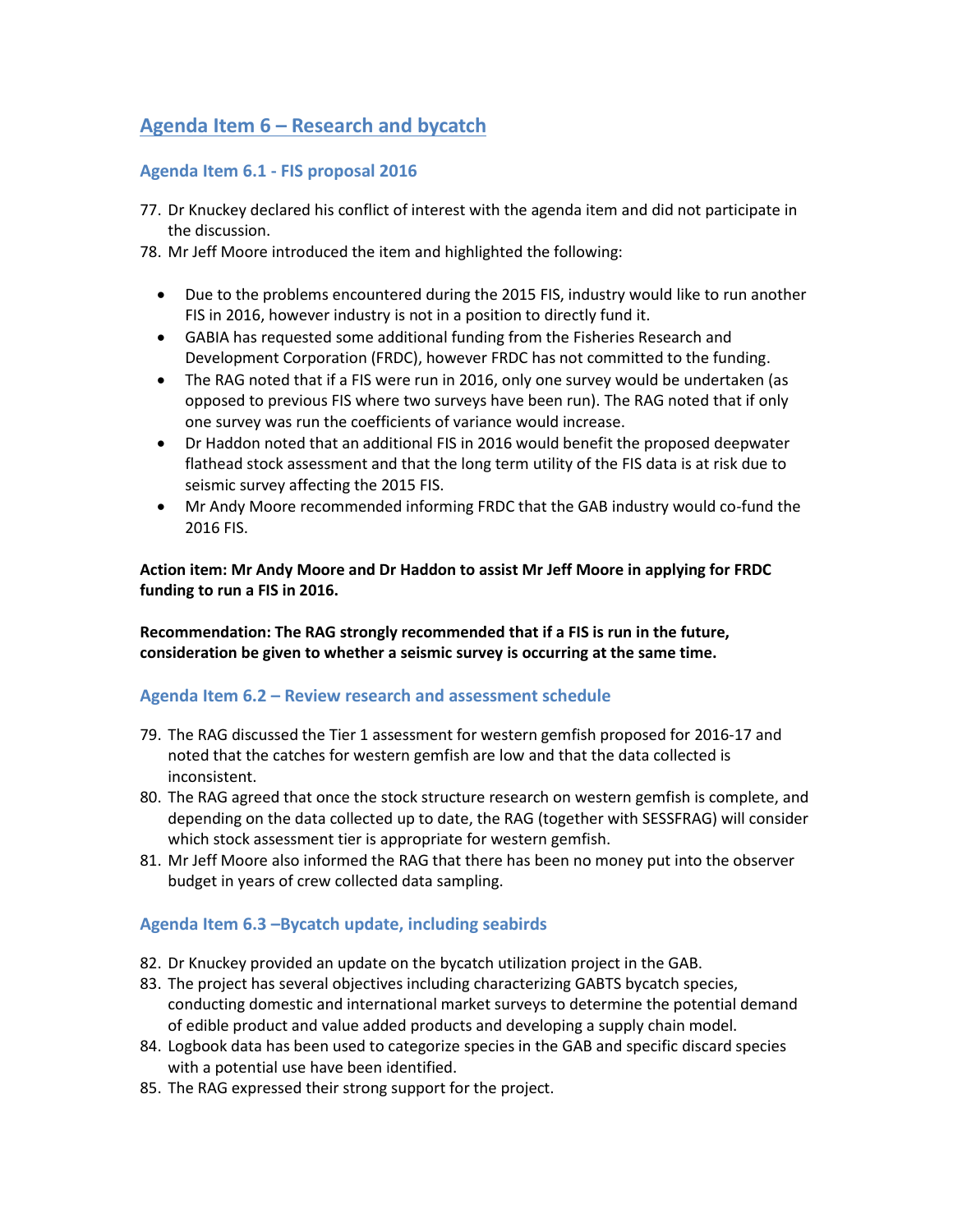# **Agenda Item 6 – Research and bycatch**

## **Agenda Item 6.1 - FIS proposal 2016**

- 77. Dr Knuckey declared his conflict of interest with the agenda item and did not participate in the discussion.
- 78. Mr Jeff Moore introduced the item and highlighted the following:
	- Due to the problems encountered during the 2015 FIS, industry would like to run another FIS in 2016, however industry is not in a position to directly fund it.
	- GABIA has requested some additional funding from the Fisheries Research and Development Corporation (FRDC), however FRDC has not committed to the funding.
	- The RAG noted that if a FIS were run in 2016, only one survey would be undertaken (as opposed to previous FIS where two surveys have been run). The RAG noted that if only one survey was run the coefficients of variance would increase.
	- Dr Haddon noted that an additional FIS in 2016 would benefit the proposed deepwater flathead stock assessment and that the long term utility of the FIS data is at risk due to seismic survey affecting the 2015 FIS.
	- Mr Andy Moore recommended informing FRDC that the GAB industry would co-fund the 2016 FIS.

**Action item: Mr Andy Moore and Dr Haddon to assist Mr Jeff Moore in applying for FRDC funding to run a FIS in 2016.**

**Recommendation: The RAG strongly recommended that if a FIS is run in the future, consideration be given to whether a seismic survey is occurring at the same time.** 

#### **Agenda Item 6.2 – Review research and assessment schedule**

- 79. The RAG discussed the Tier 1 assessment for western gemfish proposed for 2016-17 and noted that the catches for western gemfish are low and that the data collected is inconsistent.
- 80. The RAG agreed that once the stock structure research on western gemfish is complete, and depending on the data collected up to date, the RAG (together with SESSFRAG) will consider which stock assessment tier is appropriate for western gemfish.
- 81. Mr Jeff Moore also informed the RAG that there has been no money put into the observer budget in years of crew collected data sampling.

## **Agenda Item 6.3 –Bycatch update, including seabirds**

- 82. Dr Knuckey provided an update on the bycatch utilization project in the GAB.
- 83. The project has several objectives including characterizing GABTS bycatch species, conducting domestic and international market surveys to determine the potential demand of edible product and value added products and developing a supply chain model.
- 84. Logbook data has been used to categorize species in the GAB and specific discard species with a potential use have been identified.
- 85. The RAG expressed their strong support for the project.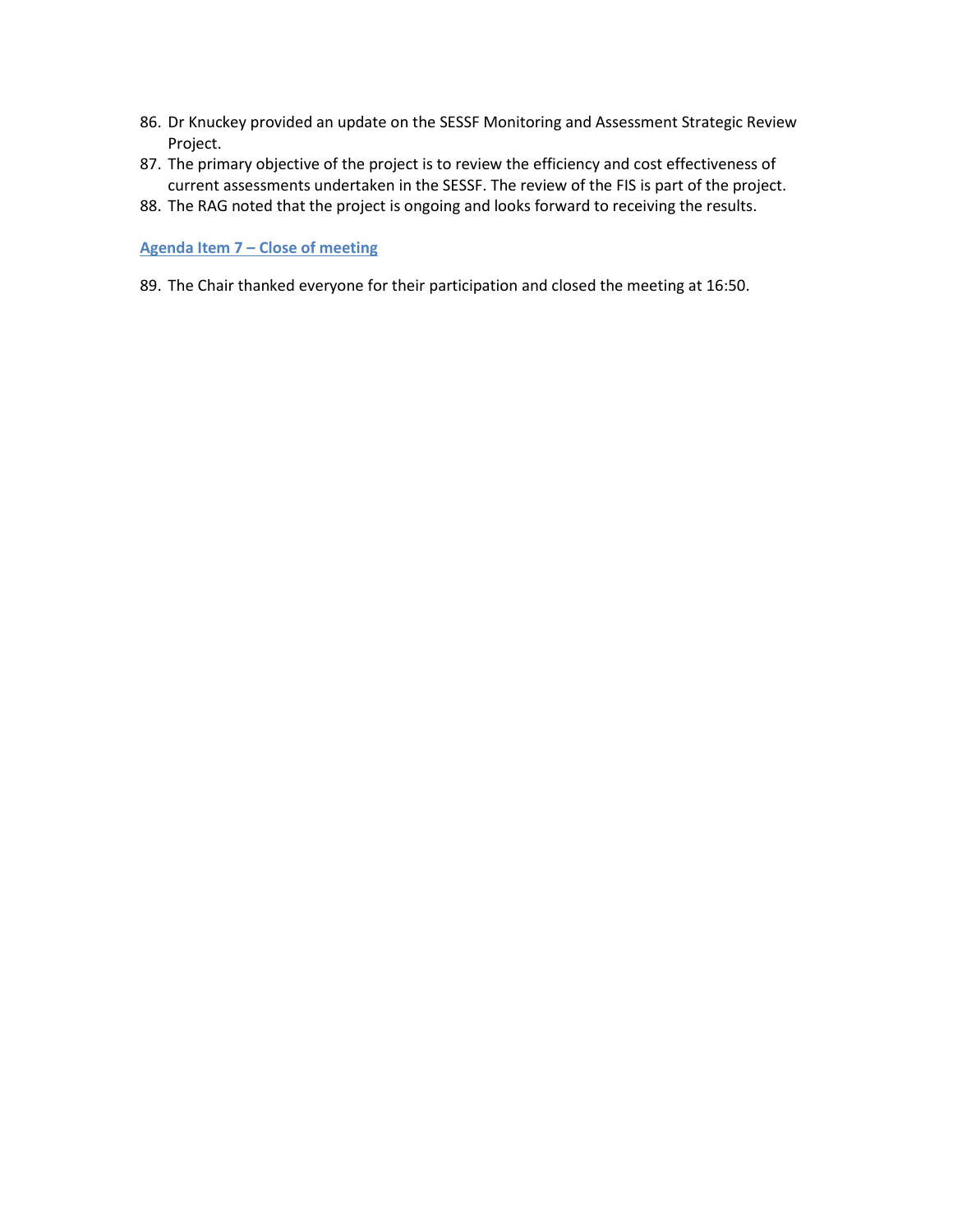- 86. Dr Knuckey provided an update on the SESSF Monitoring and Assessment Strategic Review Project.
- 87. The primary objective of the project is to review the efficiency and cost effectiveness of current assessments undertaken in the SESSF. The review of the FIS is part of the project.
- 88. The RAG noted that the project is ongoing and looks forward to receiving the results.

#### **Agenda Item 7 – Close of meeting**

89. The Chair thanked everyone for their participation and closed the meeting at 16:50.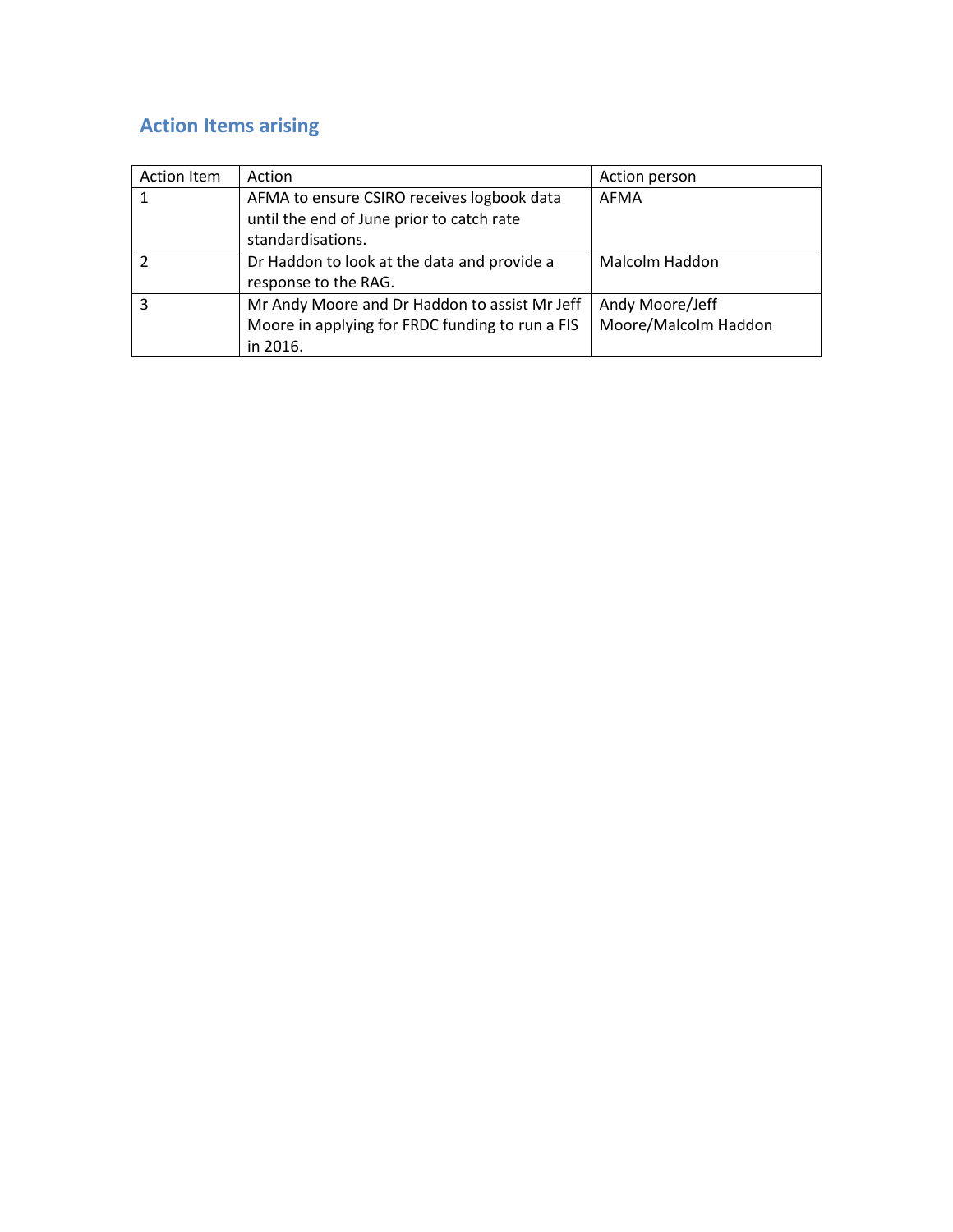# **Action Items arising**

| <b>Action Item</b> | Action                                          | Action person        |
|--------------------|-------------------------------------------------|----------------------|
|                    | AFMA to ensure CSIRO receives logbook data      | AFMA                 |
|                    | until the end of June prior to catch rate       |                      |
|                    | standardisations.                               |                      |
|                    | Dr Haddon to look at the data and provide a     | Malcolm Haddon       |
|                    | response to the RAG.                            |                      |
| 3                  | Mr Andy Moore and Dr Haddon to assist Mr Jeff   | Andy Moore/Jeff      |
|                    | Moore in applying for FRDC funding to run a FIS | Moore/Malcolm Haddon |
|                    | in 2016.                                        |                      |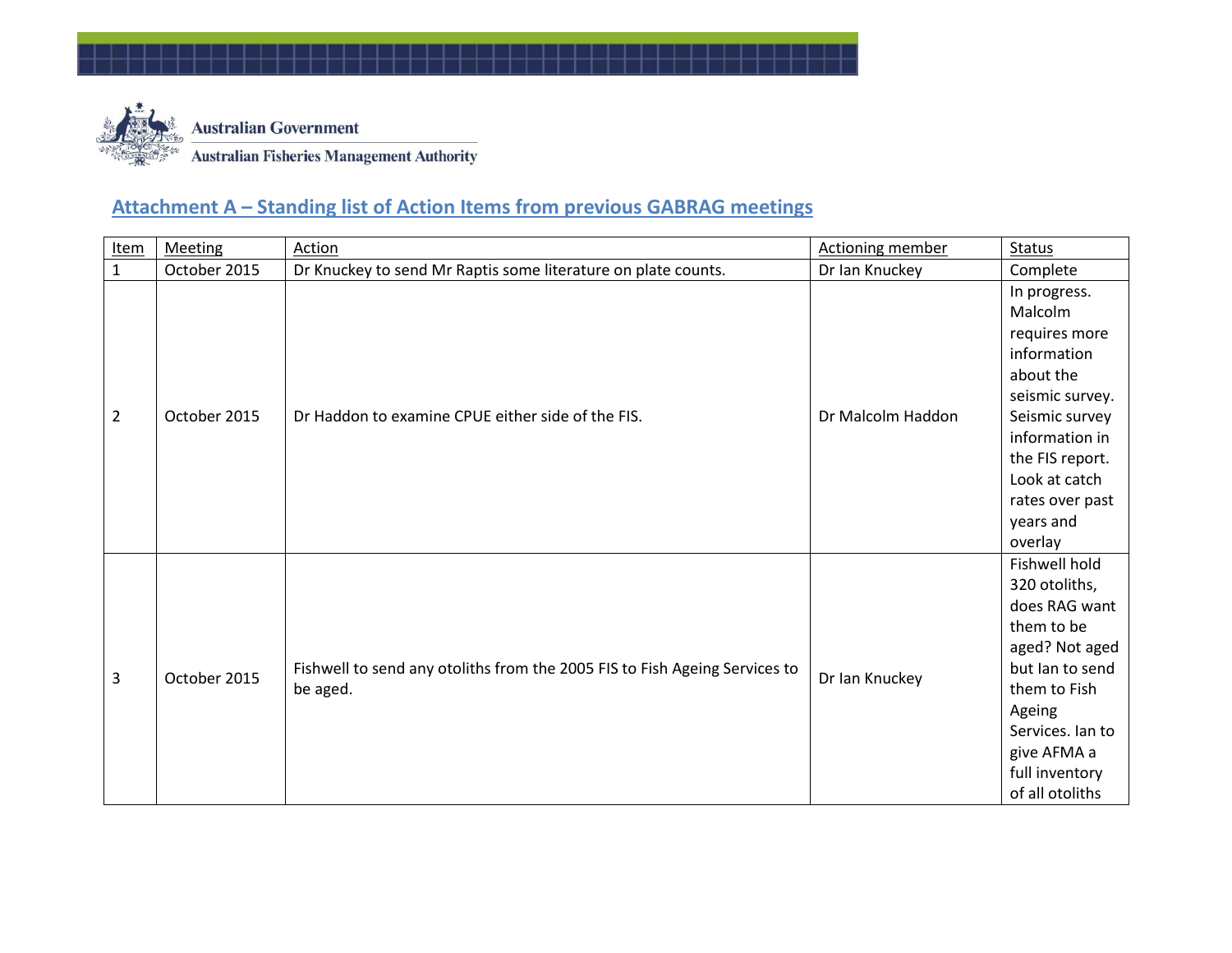

# **Attachment A – Standing list of Action Items from previous GABRAG meetings**

| <b>Item</b>    | <b>Meeting</b> | Action                                                                                 | <b>Actioning member</b> | Status                                                                                                                                                                                                     |
|----------------|----------------|----------------------------------------------------------------------------------------|-------------------------|------------------------------------------------------------------------------------------------------------------------------------------------------------------------------------------------------------|
| $\mathbf{1}$   | October 2015   | Dr Knuckey to send Mr Raptis some literature on plate counts.                          | Dr Ian Knuckey          | Complete                                                                                                                                                                                                   |
| $\overline{2}$ | October 2015   | Dr Haddon to examine CPUE either side of the FIS.                                      | Dr Malcolm Haddon       | In progress.<br>Malcolm<br>requires more<br>information<br>about the<br>seismic survey.<br>Seismic survey<br>information in<br>the FIS report.<br>Look at catch<br>rates over past<br>years and<br>overlay |
| 3              | October 2015   | Fishwell to send any otoliths from the 2005 FIS to Fish Ageing Services to<br>be aged. | Dr Ian Knuckey          | Fishwell hold<br>320 otoliths,<br>does RAG want<br>them to be<br>aged? Not aged<br>but lan to send<br>them to Fish<br>Ageing<br>Services. Ian to<br>give AFMA a<br>full inventory<br>of all otoliths       |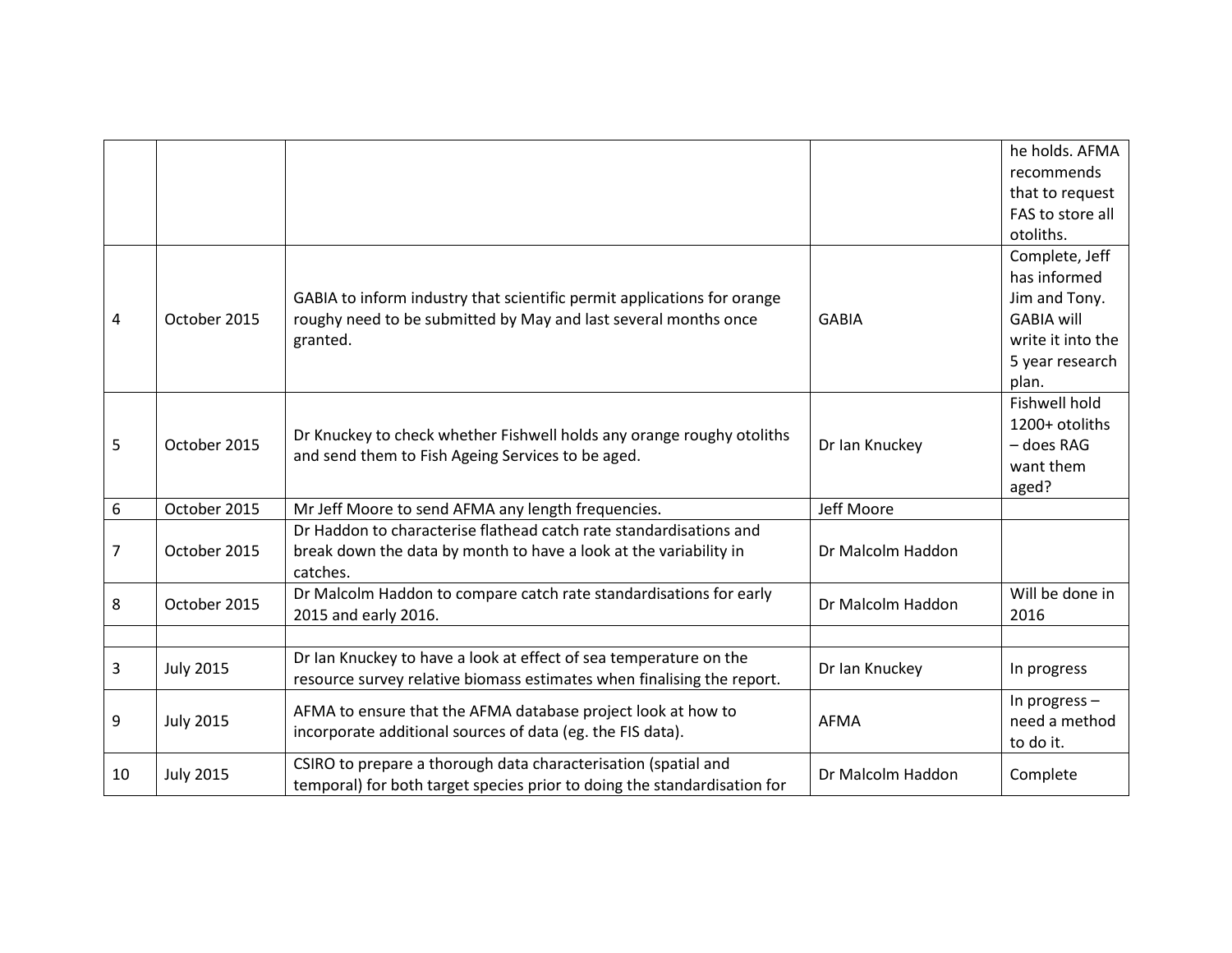|                  |                  |                                                                          |                   | he holds. AFMA       |
|------------------|------------------|--------------------------------------------------------------------------|-------------------|----------------------|
|                  |                  |                                                                          |                   | recommends           |
|                  |                  |                                                                          |                   | that to request      |
|                  |                  |                                                                          |                   | FAS to store all     |
|                  |                  |                                                                          |                   | otoliths.            |
|                  |                  |                                                                          |                   | Complete, Jeff       |
|                  |                  |                                                                          |                   | has informed         |
|                  |                  | GABIA to inform industry that scientific permit applications for orange  |                   | Jim and Tony.        |
| 4                | October 2015     | roughy need to be submitted by May and last several months once          | <b>GABIA</b>      | <b>GABIA will</b>    |
|                  |                  | granted.                                                                 |                   | write it into the    |
|                  |                  |                                                                          |                   | 5 year research      |
|                  |                  |                                                                          |                   | plan.                |
|                  |                  |                                                                          |                   | <b>Fishwell hold</b> |
|                  |                  |                                                                          |                   | 1200+ otoliths       |
| 5                | October 2015     | Dr Knuckey to check whether Fishwell holds any orange roughy otoliths    | Dr Ian Knuckey    | - does RAG           |
|                  |                  | and send them to Fish Ageing Services to be aged.                        |                   | want them            |
|                  |                  |                                                                          |                   | aged?                |
| $\boldsymbol{6}$ | October 2015     | Mr Jeff Moore to send AFMA any length frequencies.                       | Jeff Moore        |                      |
|                  |                  | Dr Haddon to characterise flathead catch rate standardisations and       |                   |                      |
| 7                | October 2015     | break down the data by month to have a look at the variability in        | Dr Malcolm Haddon |                      |
|                  |                  | catches.                                                                 |                   |                      |
| 8                | October 2015     | Dr Malcolm Haddon to compare catch rate standardisations for early       | Dr Malcolm Haddon | Will be done in      |
|                  |                  | 2015 and early 2016.                                                     |                   | 2016                 |
|                  |                  |                                                                          |                   |                      |
| 3                | <b>July 2015</b> | Dr Ian Knuckey to have a look at effect of sea temperature on the        | Dr Ian Knuckey    |                      |
|                  |                  | resource survey relative biomass estimates when finalising the report.   |                   | In progress          |
|                  |                  | AFMA to ensure that the AFMA database project look at how to             |                   | In progress $-$      |
| 9                | <b>July 2015</b> | incorporate additional sources of data (eg. the FIS data).               | <b>AFMA</b>       | need a method        |
|                  |                  |                                                                          |                   | to do it.            |
| 10               | <b>July 2015</b> | CSIRO to prepare a thorough data characterisation (spatial and           | Dr Malcolm Haddon | Complete             |
|                  |                  | temporal) for both target species prior to doing the standardisation for |                   |                      |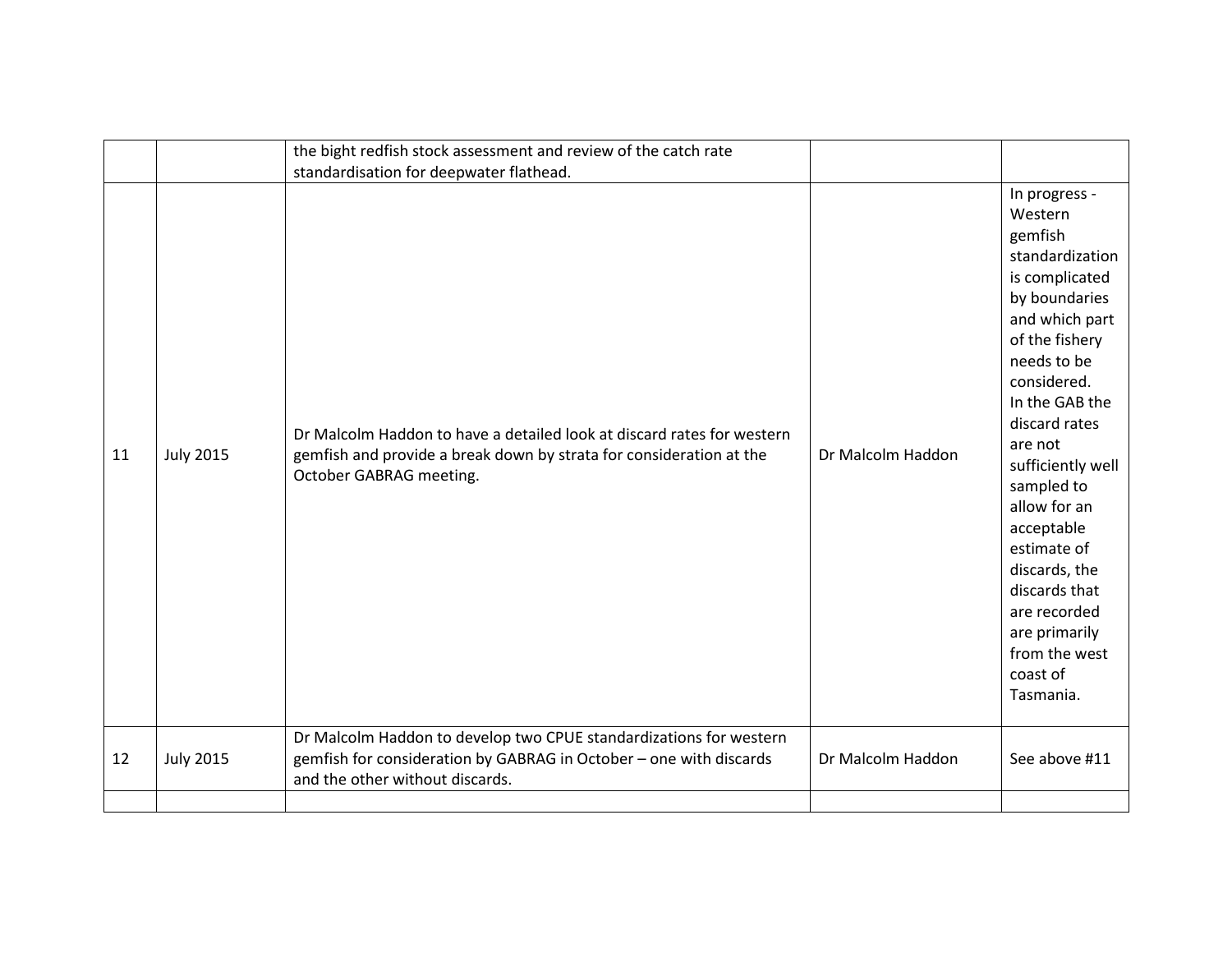|    |                  | the bight redfish stock assessment and review of the catch rate<br>standardisation for deepwater flathead.                                                                  |                   |                                                                                                                                                                                                                                                                                                                                                                                                        |
|----|------------------|-----------------------------------------------------------------------------------------------------------------------------------------------------------------------------|-------------------|--------------------------------------------------------------------------------------------------------------------------------------------------------------------------------------------------------------------------------------------------------------------------------------------------------------------------------------------------------------------------------------------------------|
| 11 | <b>July 2015</b> | Dr Malcolm Haddon to have a detailed look at discard rates for western<br>gemfish and provide a break down by strata for consideration at the<br>October GABRAG meeting.    | Dr Malcolm Haddon | In progress -<br>Western<br>gemfish<br>standardization<br>is complicated<br>by boundaries<br>and which part<br>of the fishery<br>needs to be<br>considered.<br>In the GAB the<br>discard rates<br>are not<br>sufficiently well<br>sampled to<br>allow for an<br>acceptable<br>estimate of<br>discards, the<br>discards that<br>are recorded<br>are primarily<br>from the west<br>coast of<br>Tasmania. |
| 12 | <b>July 2015</b> | Dr Malcolm Haddon to develop two CPUE standardizations for western<br>gemfish for consideration by GABRAG in October - one with discards<br>and the other without discards. | Dr Malcolm Haddon | See above #11                                                                                                                                                                                                                                                                                                                                                                                          |
|    |                  |                                                                                                                                                                             |                   |                                                                                                                                                                                                                                                                                                                                                                                                        |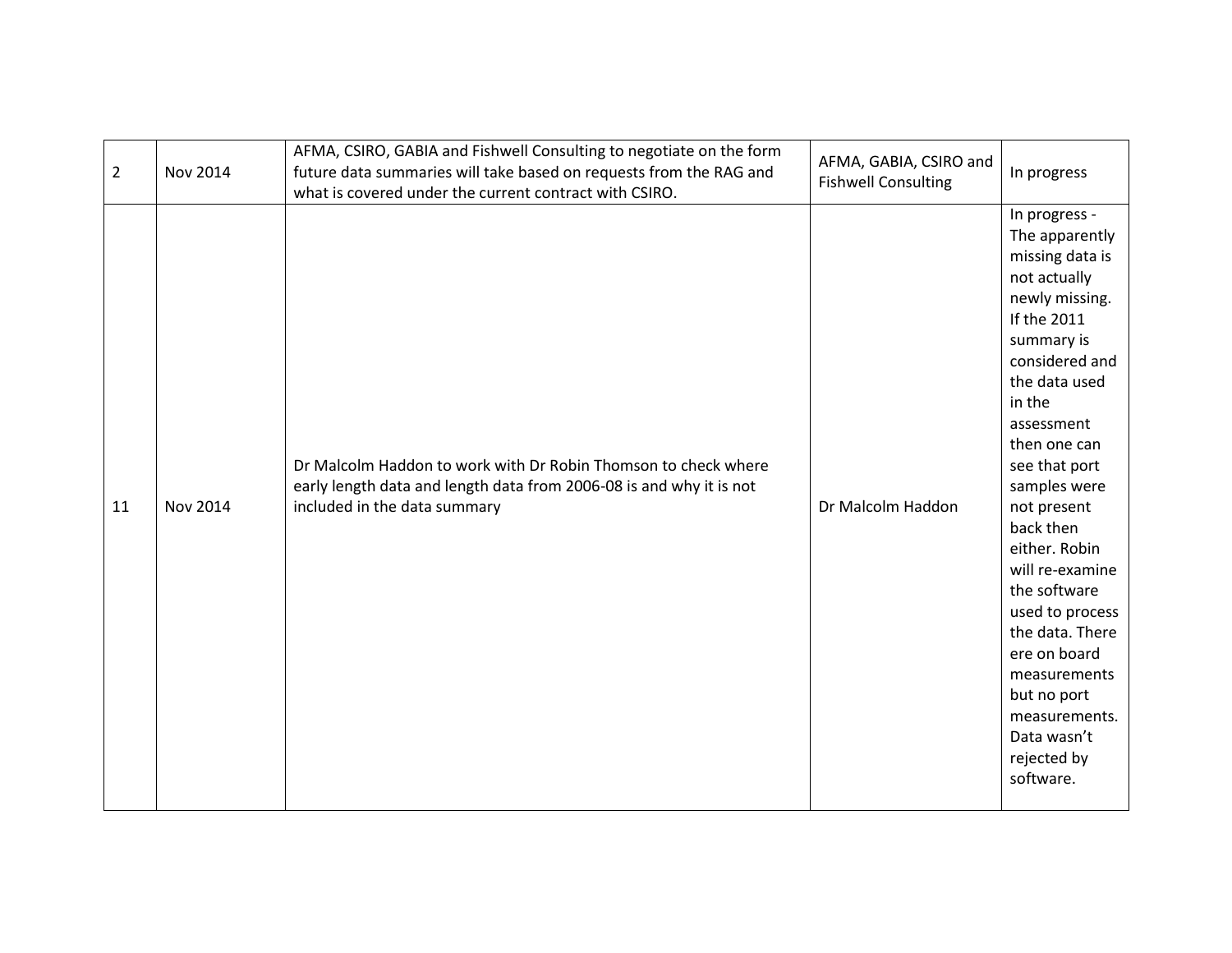| $\overline{2}$ | Nov 2014 | AFMA, CSIRO, GABIA and Fishwell Consulting to negotiate on the form<br>future data summaries will take based on requests from the RAG and<br>what is covered under the current contract with CSIRO. | AFMA, GABIA, CSIRO and<br><b>Fishwell Consulting</b> | In progress                                                                                                                                                                                                                                                                                                                                                                                                                                                    |
|----------------|----------|-----------------------------------------------------------------------------------------------------------------------------------------------------------------------------------------------------|------------------------------------------------------|----------------------------------------------------------------------------------------------------------------------------------------------------------------------------------------------------------------------------------------------------------------------------------------------------------------------------------------------------------------------------------------------------------------------------------------------------------------|
| 11             | Nov 2014 | Dr Malcolm Haddon to work with Dr Robin Thomson to check where<br>early length data and length data from 2006-08 is and why it is not<br>included in the data summary                               | Dr Malcolm Haddon                                    | In progress -<br>The apparently<br>missing data is<br>not actually<br>newly missing.<br>If the 2011<br>summary is<br>considered and<br>the data used<br>in the<br>assessment<br>then one can<br>see that port<br>samples were<br>not present<br>back then<br>either. Robin<br>will re-examine<br>the software<br>used to process<br>the data. There<br>ere on board<br>measurements<br>but no port<br>measurements.<br>Data wasn't<br>rejected by<br>software. |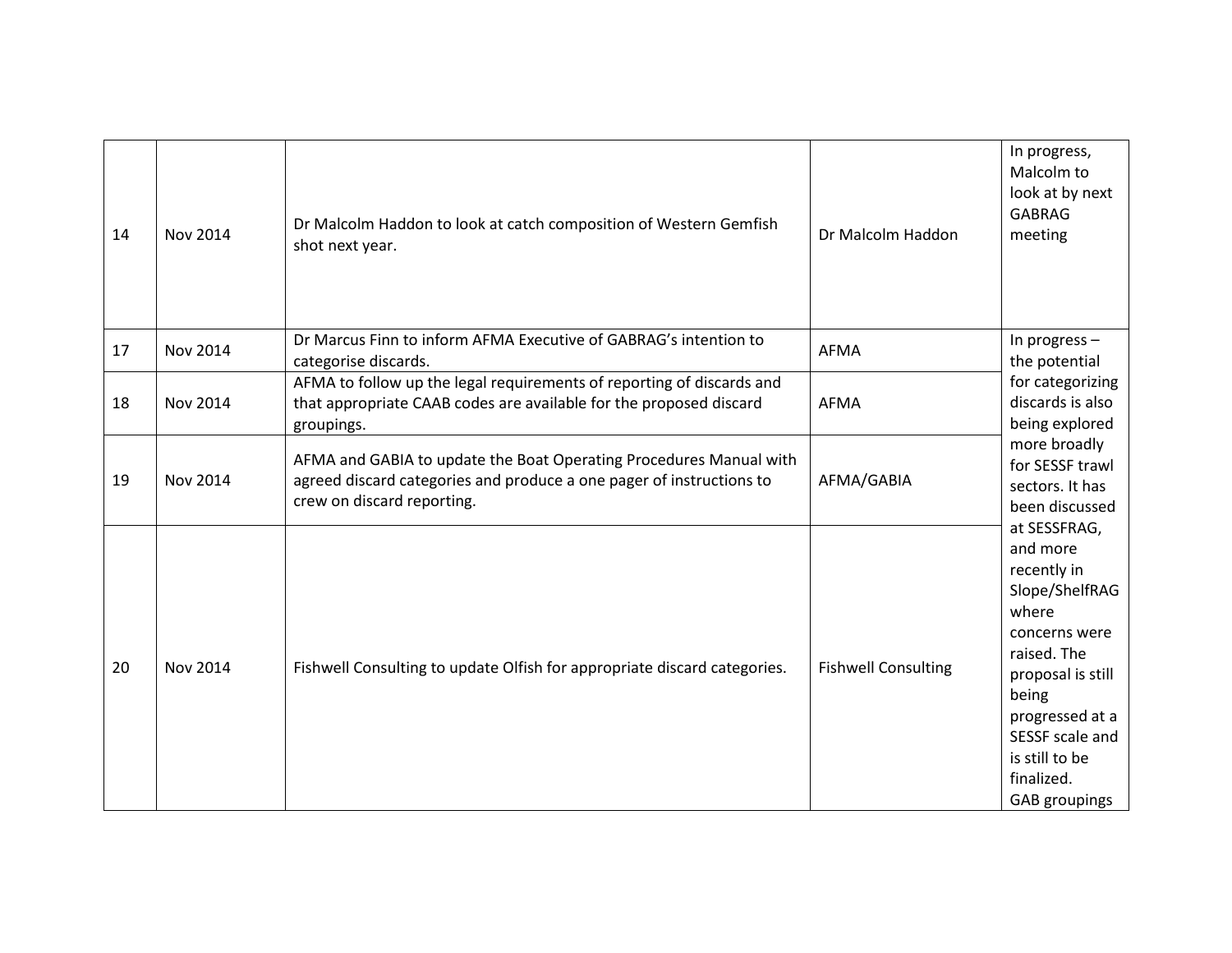| 14 | Nov 2014        | Dr Malcolm Haddon to look at catch composition of Western Gemfish<br>shot next year.                                                                                     | Dr Malcolm Haddon          | In progress,<br>Malcolm to<br>look at by next<br><b>GABRAG</b><br>meeting                                                                                                                                               |
|----|-----------------|--------------------------------------------------------------------------------------------------------------------------------------------------------------------------|----------------------------|-------------------------------------------------------------------------------------------------------------------------------------------------------------------------------------------------------------------------|
| 17 | <b>Nov 2014</b> | Dr Marcus Finn to inform AFMA Executive of GABRAG's intention to<br>categorise discards.                                                                                 | <b>AFMA</b>                | In progress -<br>the potential                                                                                                                                                                                          |
| 18 | <b>Nov 2014</b> | AFMA to follow up the legal requirements of reporting of discards and<br>that appropriate CAAB codes are available for the proposed discard<br>groupings.                | <b>AFMA</b>                | for categorizing<br>discards is also<br>being explored                                                                                                                                                                  |
| 19 | Nov 2014        | AFMA and GABIA to update the Boat Operating Procedures Manual with<br>agreed discard categories and produce a one pager of instructions to<br>crew on discard reporting. | AFMA/GABIA                 | more broadly<br>for SESSF trawl<br>sectors. It has<br>been discussed                                                                                                                                                    |
| 20 | <b>Nov 2014</b> | Fishwell Consulting to update Olfish for appropriate discard categories.                                                                                                 | <b>Fishwell Consulting</b> | at SESSFRAG,<br>and more<br>recently in<br>Slope/ShelfRAG<br>where<br>concerns were<br>raised. The<br>proposal is still<br>being<br>progressed at a<br>SESSF scale and<br>is still to be<br>finalized.<br>GAB groupings |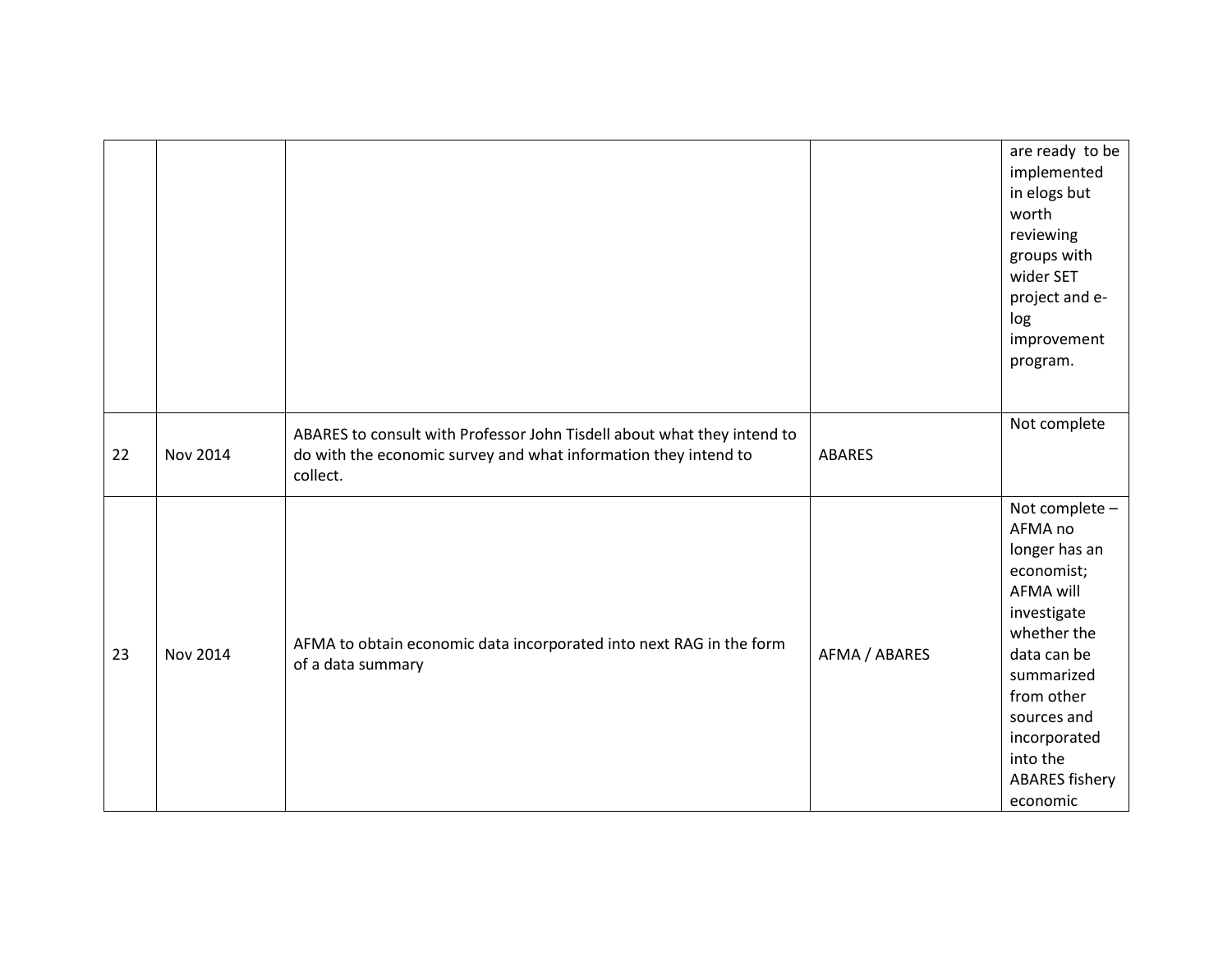|    |          |                                                                                                                                                        |               | are ready to be<br>implemented<br>in elogs but<br>worth<br>reviewing<br>groups with<br>wider SET<br>project and e-<br>log<br>improvement<br>program.                                                                                  |
|----|----------|--------------------------------------------------------------------------------------------------------------------------------------------------------|---------------|---------------------------------------------------------------------------------------------------------------------------------------------------------------------------------------------------------------------------------------|
| 22 | Nov 2014 | ABARES to consult with Professor John Tisdell about what they intend to<br>do with the economic survey and what information they intend to<br>collect. | <b>ABARES</b> | Not complete                                                                                                                                                                                                                          |
| 23 | Nov 2014 | AFMA to obtain economic data incorporated into next RAG in the form<br>of a data summary                                                               | AFMA / ABARES | Not complete -<br>AFMA no<br>longer has an<br>economist;<br><b>AFMA will</b><br>investigate<br>whether the<br>data can be<br>summarized<br>from other<br>sources and<br>incorporated<br>into the<br><b>ABARES fishery</b><br>economic |